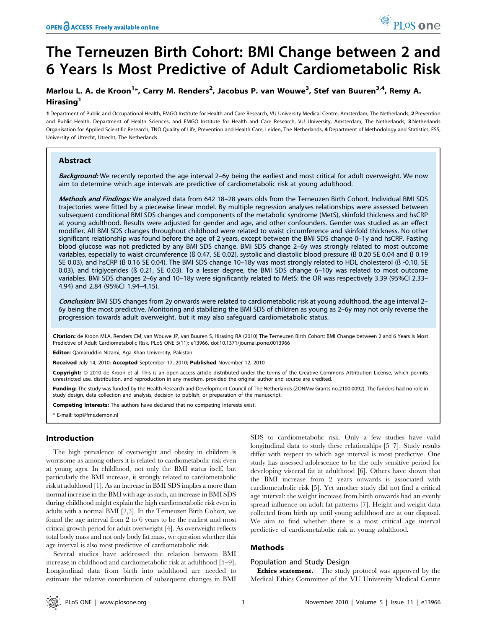# The Terneuzen Birth Cohort: BMI Change between 2 and 6 Years Is Most Predictive of Adult Cardiometabolic Risk

# Marlou L. A. de Kroon<sup>1\*</sup>, Carry M. Renders<sup>2</sup>, Jacobus P. van Wouwe<sup>3</sup>, Stef van Buuren<sup>3,4</sup>, Remy A. Hirasing<sup>1</sup>

1 Department of Public and Occupational Health, EMGO Institute for Health and Care Research, VU University Medical Centre, Amsterdam, The Netherlands, 2 Prevention and Public Health, Department of Health Sciences, and EMGO Institute for Health and Care Research, VU University, Amsterdam, The Netherlands, 3 Netherlands Organisation for Applied Scientific Research, TNO Quality of Life, Prevention and Health Care, Leiden, The Netherlands, 4 Department of Methodology and Statistics, FSS, University of Utrecht, Utrecht, The Netherlands

#### Abstract

Background: We recently reported the age interval 2–6y being the earliest and most critical for adult overweight. We now aim to determine which age intervals are predictive of cardiometabolic risk at young adulthood.

Methods and Findings: We analyzed data from 642 18-28 years olds from the Terneuzen Birth Cohort. Individual BMI SDS trajectories were fitted by a piecewise linear model. By multiple regression analyses relationships were assessed between subsequent conditional BMI SDS changes and components of the metabolic syndrome (MetS), skinfold thickness and hsCRP at young adulthood. Results were adjusted for gender and age, and other confounders. Gender was studied as an effect modifier. All BMI SDS changes throughout childhood were related to waist circumference and skinfold thickness. No other significant relationship was found before the age of 2 years, except between the BMI SDS change 0–1y and hsCRP. Fasting blood glucose was not predicted by any BMI SDS change. BMI SDS change 2–6y was strongly related to most outcome variables, especially to waist circumference (ß 0.47, SE 0.02), systolic and diastolic blood pressure (ß 0.20 SE 0.04 and ß 0.19 SE 0.03), and hsCRP (ß 0.16 SE 0.04). The BMI SDS change 10–18y was most strongly related to HDL cholesterol (ß -0.10, SE 0.03), and triglycerides (ß 0.21, SE 0.03). To a lesser degree, the BMI SDS change 6–10y was related to most outcome variables. BMI SDS changes 2–6y and 10–18y were significantly related to MetS: the OR was respectively 3.39 (95%CI 2.33– 4.94) and 2.84 (95%CI 1.94–4.15).

Conclusion: BMI SDS changes from 2y onwards were related to cardiometabolic risk at young adulthood, the age interval 2– 6y being the most predictive. Monitoring and stabilizing the BMI SDS of children as young as 2–6y may not only reverse the progression towards adult overweight, but it may also safeguard cardiometabolic status.

Citation: de Kroon MLA, Renders CM, van Wouwe JP, van Buuren S, Hirasing RA (2010) The Terneuzen Birth Cohort: BMI Change between 2 and 6 Years Is Most Predictive of Adult Cardiometabolic Risk. PLoS ONE 5(11): e13966. doi:10.1371/journal.pone.0013966

Editor: Qamaruddin Nizami, Aga Khan University, Pakistan

Received July 14, 2010; Accepted September 17, 2010; Published November 12, 2010

Copyright: © 2010 de Kroon et al. This is an open-access article distributed under the terms of the Creative Commons Attribution License, which permits unrestricted use, distribution, and reproduction in any medium, provided the original author and source are credited.

Funding: The study was funded by the Health Research and Development Council of The Netherlands (ZONMw Grants no.2100.0092). The funders had no role in study design, data collection and analysis, decision to publish, or preparation of the manuscript.

Competing Interests: The authors have declared that no competing interests exist.

\* E-mail: top@fms.demon.nl

### Introduction

The high prevalence of overweight and obesity in children is worrisome as among others it is related to cardiometabolic risk even at young ages. In childhood, not only the BMI status itself, but particularly the BMI increase, is strongly related to cardiometabolic risk at adulthood [1]. As an increase in BMI SDS implies a more than normal increase in the BMI with age as such, an increase in BMI SDS during childhood might explain the high cardiometabolic risk even in adults with a normal BMI [2,3]. In the Terneuzen Birth Cohort, we found the age interval from 2 to 6 years to be the earliest and most critical growth period for adult overweight [4]. As overweight reflects total body mass and not only body fat mass, we question whether this age interval is also most predictive of cardiometabolic risk.

Several studies have addressed the relation between BMI increase in childhood and cardiometabolic risk at adulthood [5–9]. Longitudinal data from birth into adulthood are needed to estimate the relative contribution of subsequent changes in BMI SDS to cardiometabolic risk. Only a few studies have valid longitudinal data to study these relationships [5–7]. Study results differ with respect to which age interval is most predictive. One study has assessed adolescence to be the only sensitive period for developing visceral fat at adulthood [6]. Others have shown that the BMI increase from 2 years onwards is associated with cardiometabolic risk [5]. Yet another study did not find a critical age interval: the weight increase from birth onwards had an evenly spread influence on adult fat patterns [7]. Height and weight data collected from birth up until young adulthood are at our disposal. We aim to find whether there is a most critical age interval predictive of cardiometabolic risk at young adulthood.

## Methods

#### Population and Study Design

Ethics statement. The study protocol was approved by the Medical Ethics Committee of the VU University Medical Centre

PLoS one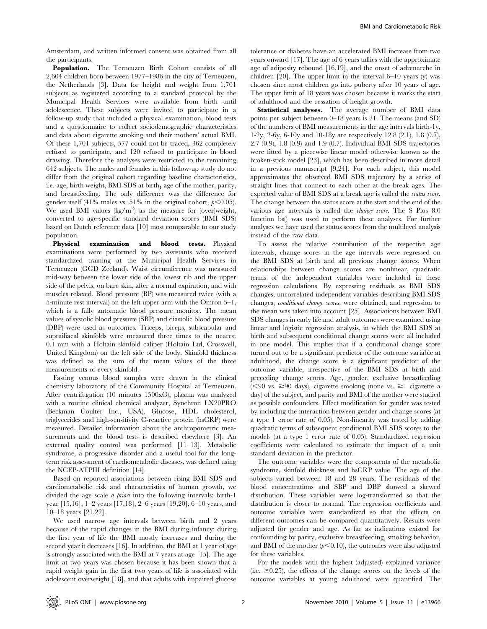Amsterdam, and written informed consent was obtained from all the participants.

Population. The Terneuzen Birth Cohort consists of all 2,604 children born between 1977–1986 in the city of Terneuzen, the Netherlands [3]. Data for height and weight from 1,701 subjects as registered according to a standard protocol by the Municipal Health Services were available from birth until adolescence. These subjects were invited to participate in a follow-up study that included a physical examination, blood tests and a questionnaire to collect sociodemographic characteristics and data about cigarette smoking and their mothers' actual BMI. Of these 1,701 subjects, 577 could not be traced, 362 completely refused to participate, and 120 refused to participate in blood drawing. Therefore the analyses were restricted to the remaining 642 subjects. The males and females in this follow-up study do not differ from the original cohort regarding baseline characteristics, i.e. age, birth weight, BMI SDS at birth, age of the mother, parity, and breastfeeding. The only difference was the difference for gender itself (41% males vs. 51% in the original cohort,  $p<0.05$ ). We used BMI values  $(kg/m^2)$  as the measure for (over)weight, converted to age-specific standard deviation scores (BMI SDS) based on Dutch reference data [10] most comparable to our study population.

Physical examination and blood tests. Physical examinations were performed by two assistants who received standardized training at the Municipal Health Services in Terneuzen (GGD Zeeland). Waist circumference was measured mid-way between the lower side of the lowest rib and the upper side of the pelvis, on bare skin, after a normal expiration, and with muscles relaxed. Blood pressure (BP) was measured twice (with a 5-minute rest interval) on the left upper arm with the Omron 5–1, which is a fully automatic blood pressure monitor. The mean values of systolic blood pressure (SBP) and diastolic blood pressure (DBP) were used as outcomes. Triceps, biceps, subscapular and suprailiacal skinfolds were measured three times to the nearest 0.1 mm with a Holtain skinfold caliper (Holtain Ltd, Crosswell, United Kingdom) on the left side of the body. Skinfold thickness was defined as the sum of the mean values of the three measurements of every skinfold.

Fasting venous blood samples were drawn in the clinical chemistry laboratory of the Community Hospital at Terneuzen. After centrifugation (10 minutes 1500xG), plasma was analyzed with a routine clinical chemical analyzer, Synchron LX20PRO (Beckman Coulter Inc., USA). Glucose, HDL cholesterol, triglycerides and high-sensitivity C-reactive protein (hsCRP) were measured. Detailed information about the anthropometric measurements and the blood tests is described elsewhere [3]. An external quality control was performed [11–13]. Metabolic syndrome, a progressive disorder and a useful tool for the longterm risk assessment of cardiometabolic diseases, was defined using the NCEP-ATPIII definition [14].

Based on reported associations between rising BMI SDS and cardiometabolic risk and characteristics of human growth, we divided the age scale *a priori* into the following intervals: birth-1 year [15,16], 1–2 years [17,18], 2–6 years [19,20], 6–10 years, and 10–18 years [21,22].

We used narrow age intervals between birth and 2 years because of the rapid changes in the BMI during infancy: during the first year of life the BMI mostly increases and during the second year it decreases [16]. In addition, the BMI at 1 year of age is strongly associated with the BMI at 7 years at age [15]. The age limit at two years was chosen because it has been shown that a rapid weight gain in the first two years of life is associated with adolescent overweight [18], and that adults with impaired glucose

tolerance or diabetes have an accelerated BMI increase from two years onward [17]. The age of 6 years tallies with the approximate age of adiposity rebound [16,19], and the onset of adrenarche in children [20]. The upper limit in the interval 6–10 years (y) was chosen since most children go into puberty after 10 years of age. The upper limit of 18 years was chosen because it marks the start of adulthood and the cessation of height growth.

Statistical analyses. The average number of BMI data points per subject between 0–18 years is 21. The means (and SD) of the numbers of BMI measurements in the age intervals birth-1y, 1-2y, 2-6y, 6-10y and 10-18y are respectively 12.8 (2.1), 1.8 (0.7), 2.7 (0.9), 1.8 (0.9) and 1.9 (0.7). Individual BMI SDS trajectories were fitted by a piecewise linear model otherwise known as the broken-stick model [23], which has been described in more detail in a previous manuscript [9,24]. For each subject, this model approximates the observed BMI SDS trajectory by a series of straight lines that connect to each other at the break ages. The expected value of BMI SDS at a break age is called the status score. The change between the status score at the start and the end of the various age intervals is called the change score. The S Plus 8.0 function bs() was used to perform these analyses. For further analyses we have used the status scores from the multilevel analysis instead of the raw data.

To assess the relative contribution of the respective age intervals, change scores in the age intervals were regressed on the BMI SDS at birth and all previous change scores. When relationships between change scores are nonlinear, quadratic terms of the independent variables were included in these regression calculations. By expressing residuals as BMI SDS changes, uncorrelated independent variables describing BMI SDS changes, conditional change scores, were obtained, and regression to the mean was taken into account [25]. Associations between BMI SDS changes in early life and adult outcomes were examined using linear and logistic regression analysis, in which the BMI SDS at birth and subsequent conditional change scores were all included in one model. This implies that if a conditional change score turned out to be a significant predictor of the outcome variable at adulthood, the change score is a significant predictor of the outcome variable, irrespective of the BMI SDS at birth and preceding change scores. Age, gender, exclusive breastfeeding  $(< 90 \text{ vs. } \geq 90 \text{ days})$ , cigarette smoking (none vs.  $\geq 1$  cigarette a day) of the subject, and parity and BMI of the mother were studied as possible confounders. Effect modification for gender was tested by including the interaction between gender and change scores (at a type 1 error rate of 0.05). Non-linearity was tested by adding quadratic terms of subsequent conditional BMI SDS scores to the models (at a type 1 error rate of 0.05). Standardized regression coefficients were calculated to estimate the impact of a unit standard deviation in the predictor.

The outcome variables were the components of the metabolic syndrome, skinfold thickness and hsCRP value. The age of the subjects varied between 18 and 28 years. The residuals of the blood concentrations and SBP and DBP showed a skewed distribution. These variables were log-transformed so that the distribution is closer to normal. The regression coefficients and outcome variables were standardized so that the effects on different outcomes can be compared quantitatively. Results were adjusted for gender and age. As far as indications existed for confounding by parity, exclusive breastfeeding, smoking behavior, and BMI of the mother  $(p<0.10)$ , the outcomes were also adjusted for these variables.

For the models with the highest (adjusted) explained variance (i.e.  $\geq$ 0.25), the effects of the change scores on the levels of the outcome variables at young adulthood were quantified. The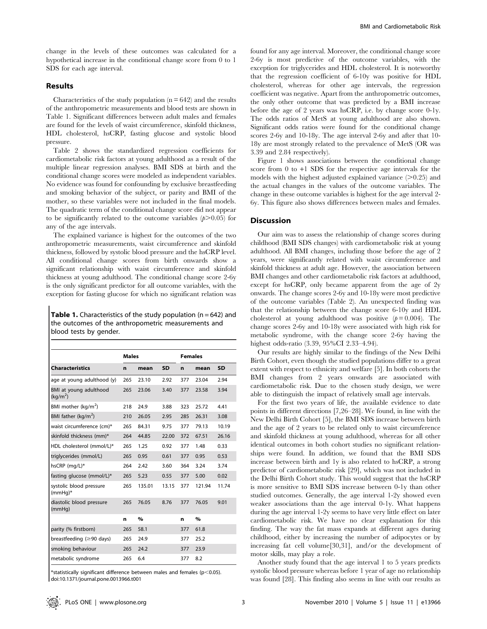change in the levels of these outcomes was calculated for a hypothetical increase in the conditional change score from 0 to 1 SDS for each age interval.

### Results

Characteristics of the study population  $(n = 642)$  and the results of the anthropometric measurements and blood tests are shown in Table 1. Significant differences between adult males and females are found for the levels of waist circumference, skinfold thickness, HDL cholesterol, hsCRP, fasting glucose and systolic blood pressure.

Table 2 shows the standardized regression coefficients for cardiometabolic risk factors at young adulthood as a result of the multiple linear regression analyses. BMI SDS at birth and the conditional change scores were modeled as independent variables. No evidence was found for confounding by exclusive breastfeeding and smoking behavior of the subject, or parity and BMI of the mother, so these variables were not included in the final models. The quadratic term of the conditional change score did not appear to be significantly related to the outcome variables  $(p>0.05)$  for any of the age intervals.

The explained variance is highest for the outcomes of the two anthropometric measurements, waist circumference and skinfold thickness, followed by systolic blood pressure and the hsCRP level. All conditional change scores from birth onwards show a significant relationship with waist circumference and skinfold thickness at young adulthood. The conditional change score 2-6y is the only significant predictor for all outcome variables, with the exception for fasting glucose for which no significant relation was

**Table 1.** Characteristics of the study population ( $n = 642$ ) and the outcomes of the anthropometric measurements and blood tests by gender.

|                                                | <b>Males</b> |        |           | <b>Females</b> |        |           |
|------------------------------------------------|--------------|--------|-----------|----------------|--------|-----------|
| <b>Characteristics</b>                         | n            | mean   | <b>SD</b> | n              | mean   | <b>SD</b> |
| age at young adulthood (y)                     | 265          | 23.10  | 2.92      | 377            | 23.04  | 2.94      |
| BMI at young adulthood<br>(kq/m <sup>2</sup> ) | 265          | 23.06  | 3.40      | 377            | 23.58  | 3.94      |
| BMI mother (kg/m <sup>2</sup> )                | 218          | 24.9   | 3.88      | 323            | 25.72  | 4.41      |
| BMI father (kg/m <sup>2</sup> )                | 210          | 26.05  | 2.95      | 285            | 26.31  | 3.08      |
| waist circumference (cm)*                      | 265          | 84.31  | 9.75      | 377            | 79.13  | 10.19     |
| skinfold thickness (mm)*                       | 264          | 44.85  | 22.00     | 372            | 67.51  | 26.16     |
| HDL cholesterol (mmol/L)*                      | 265          | 1.25   | 0.92      | 377            | 1.48   | 0.33      |
| triglycerides (mmol/L)                         | 265          | 0.95   | 0.61      | 377            | 0.95   | 0.53      |
| hsCRP (mg/L)*                                  | 264          | 2.42   | 3.60      | 364            | 3.24   | 3.74      |
| fasting glucose (mmol/L)*                      | 265          | 5.23   | 0.55      | 377            | 5.00   | 0.02      |
| systolic blood pressure<br>$(mmHq)^*$          | 265          | 135.01 | 13.15     | 377            | 121.94 | 11.74     |
| diastolic blood pressure<br>(mmHq)             | 265          | 76.05  | 8.76      | 377            | 76.05  | 9.01      |
|                                                | n            | $\%$   |           | n              | $\%$   |           |
| parity (% firstborn)                           | 265          | 58.1   |           | 377            | 61.8   |           |
| breastfeeding (≥90 days)                       | 265          | 24.9   |           | 377            | 25.2   |           |
| smoking behaviour                              | 265          | 24.2   |           | 377            | 23.9   |           |
| metabolic syndrome                             | 265          | 6.4    |           | 377            | 8.2    |           |
|                                                |              |        |           |                |        |           |

\*statistically significant difference between males and females ( $p$ <0.05). doi:10.1371/journal.pone.0013966.t001

found for any age interval. Moreover, the conditional change score 2-6y is most predictive of the outcome variables, with the exception for triglycerides and HDL cholesterol. It is noteworthy that the regression coefficient of 6-10y was positive for HDL cholesterol, whereas for other age intervals, the regression coefficient was negative. Apart from the anthropometric outcomes, the only other outcome that was predicted by a BMI increase before the age of 2 years was hsCRP, i.e. by change score 0-1y. The odds ratios of MetS at young adulthood are also shown. Significant odds ratios were found for the conditional change scores 2-6y and 10-18y. The age interval 2-6y and after that 10- 18y are most strongly related to the prevalence of MetS (OR was 3.39 and 2.84 respectively).

Figure 1 shows associations between the conditional change score from 0 to +1 SDS for the respective age intervals for the models with the highest adjusted explained variance  $(>0.25)$  and the actual changes in the values of the outcome variables. The change in these outcome variables is highest for the age interval 2- 6y. This figure also shows differences between males and females.

### Discussion

Our aim was to assess the relationship of change scores during childhood (BMI SDS changes) with cardiometabolic risk at young adulthood. All BMI changes, including those before the age of 2 years, were significantly related with waist circumference and skinfold thickness at adult age. However, the association between BMI changes and other cardiometabolic risk factors at adulthood, except for hsCRP, only became apparent from the age of 2y onwards. The change scores 2-6y and 10-18y were most predictive of the outcome variables (Table 2). An unexpected finding was that the relationship between the change score 6-10y and HDL cholesterol at young adulthood was positive  $(p=0.004)$ . The change scores 2-6y and 10-18y were associated with high risk for metabolic syndrome, with the change score 2-6y having the highest odds-ratio (3.39, 95%CI 2.33–4.94).

Our results are highly similar to the findings of the New Delhi Birth Cohort, even though the studied populations differ to a great extent with respect to ethnicity and welfare [5]. In both cohorts the BMI changes from 2 years onwards are associated with cardiometabolic risk. Due to the chosen study design, we were able to distinguish the impact of relatively small age intervals.

For the first two years of life, the available evidence to date points in different directions [7,26–28]. We found, in line with the New Delhi Birth Cohort [5], the BMI SDS increase between birth and the age of 2 years to be related only to waist circumference and skinfold thickness at young adulthood, whereas for all other identical outcomes in both cohort studies no significant relationships were found. In addition, we found that the BMI SDS increase between birth and 1y is also related to hsCRP, a strong predictor of cardiometabolic risk [29], which was not included in the Delhi Birth Cohort study. This would suggest that the hsCRP is more sensitive to BMI SDS increase between 0-1y than other studied outcomes. Generally, the age interval 1-2y showed even weaker associations than the age interval 0-1y. What happens during the age interval 1-2y seems to have very little effect on later cardiometabolic risk. We have no clear explanation for this finding. The way the fat mass expands at different ages during childhood, either by increasing the number of adipocytes or by increasing fat cell volume[30,31], and/or the development of motor skills, may play a role.

Another study found that the age interval 1 to 5 years predicts systolic blood pressure whereas before 1 year of age no relationship was found [28]. This finding also seems in line with our results as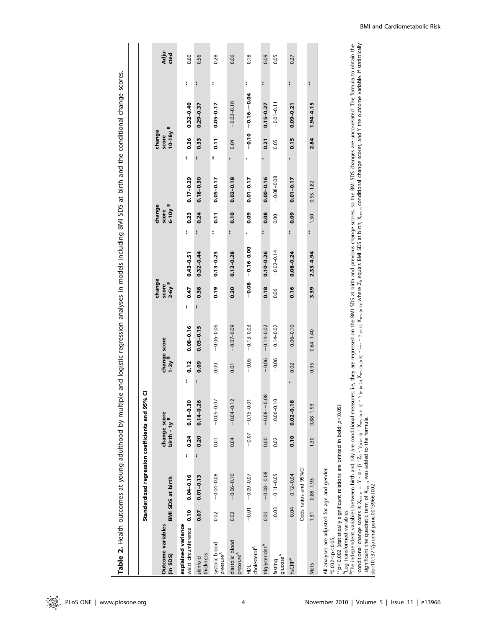Table 2. Health outcomes at young adulthood by multiple and logistic regression analyses in models including BMI SDS at birth and the conditional change scores. Table 2. Health outcomes at young adulthood by multiple and logistic regression analyses in models including BMI SDS at birth and the conditional change scores.

|                                                                                                                                                                                                                                                                                                                                                                                                                                                                                                                                                        |         | Standardized regression coefficients and 95% |            | Ū                                       |            |                                   |                                        |                |               |                                           |                |                              |                                                                                                                                                     |    |               |
|--------------------------------------------------------------------------------------------------------------------------------------------------------------------------------------------------------------------------------------------------------------------------------------------------------------------------------------------------------------------------------------------------------------------------------------------------------------------------------------------------------------------------------------------------------|---------|----------------------------------------------|------------|-----------------------------------------|------------|-----------------------------------|----------------------------------------|----------------|---------------|-------------------------------------------|----------------|------------------------------|-----------------------------------------------------------------------------------------------------------------------------------------------------|----|---------------|
| Outcome variables<br>(in SDS)                                                                                                                                                                                                                                                                                                                                                                                                                                                                                                                          |         | <b>BMI SDS at birth</b>                      |            | change score<br>birth - 1y <sup>B</sup> |            | change score<br>1-2y <sup>B</sup> | change<br>$2-6y$ <sup>B</sup><br>score |                |               | change<br>$6 - 10y$ <sup>B</sup><br>score |                | $10-18yB$<br>change<br>score |                                                                                                                                                     |    | Adju-<br>sted |
| explained variance<br>waist circumference                                                                                                                                                                                                                                                                                                                                                                                                                                                                                                              | 0.10    | $0.04 - 0.16$                                | 0.24<br>** | $0.18 - 0.30$                           | 0.12<br>** | $0.08 - 0.16$                     | 0.47<br>**                             | $0.43 - 0.51$  | ŧ             | 0.23                                      | $0.17 - 0.29$  | 0.36<br>$*$                  | $0.32 - 0.40$                                                                                                                                       | ŧ  | 0.60          |
| thickness<br>skinfold                                                                                                                                                                                                                                                                                                                                                                                                                                                                                                                                  | 0.07    | $0.01 - 0.13$                                | 0.20<br>** | $0.14 - 0.26$                           | 0.09       | $0.03 - 0.15$                     | 0.38<br>尊幸                             | $0.32 - 0.44$  | ŧ             | 0.24                                      | $0.18 - 0.30$  | 0.33<br>**                   | $0.29 - 0.37$                                                                                                                                       | 薯  | 0.56          |
| systolic blood<br>pressure <sup>A</sup>                                                                                                                                                                                                                                                                                                                                                                                                                                                                                                                | 0.02    | $-0.04 - 0.08$                               | 0.01       | $-0.05 - 0.07$                          | 0.00       | $-0.06 - 0.06$                    | 0.19                                   | $0.13 - 0.25$  | ≸             | $\overline{0}$ .11                        | $0.05 - 0.17$  | $\overline{0}$ .11<br>**     | $0.05 - 0.17$                                                                                                                                       | ≸  | 0.28          |
| diastolic blood<br>pressure <sup>A</sup>                                                                                                                                                                                                                                                                                                                                                                                                                                                                                                               | 0.02    | $-0.06 - 0.10$                               | 0.04       | $-0.04 - 0.12$                          | 0.01       | $-0.07 - 0.09$                    | 0.20                                   | $0.12 - 0.28$  | $\frac{*}{*}$ | 0.10                                      | $0.02 - 0.18$  | 0.04                         | $-0.02 - 0.10$                                                                                                                                      |    | 0.06          |
| cholesterol <sup>A</sup><br>힢                                                                                                                                                                                                                                                                                                                                                                                                                                                                                                                          |         | $-0.01 - 0.09 - 0.07$                        | $-0.07$    | $-0.15 - 0.01$                          | $-0.05$    | $-0.13 - 0.03$                    | $-0.08$                                | $-0.16 - 0.00$ | *             | 0.09                                      | $0.01 - 0.17$  | *                            | $-0.10 - 0.10 - 0.01$                                                                                                                               | \$ | 0.18          |
| triglycerides <sup>A</sup>                                                                                                                                                                                                                                                                                                                                                                                                                                                                                                                             | 0.00    | $-0.08 - 0.08$                               | 0.00       | $-0.08 - -0.08$                         | $-0.06$    | $-0.14 - 0.02$                    | 0.18                                   | $0.10 - 0.26$  | ≸             | 0.08                                      | $0.00 - 0.16$  | 0.21                         | $0.15 - 0.27$                                                                                                                                       | \$ | 0.09          |
| I glucose <sup>A</sup><br>fasting                                                                                                                                                                                                                                                                                                                                                                                                                                                                                                                      | $-0.03$ | $-0.11 - 0.05$                               | 0.02       | $-0.06 - 0.10$                          | $-0.06$    | $-0.14 - 0.02$                    | 0.06                                   | $-0.02 - 0.14$ |               | 0.00                                      | $-0.08 - 0.08$ | 0.05                         | $-0.01 - 0.11$                                                                                                                                      |    | 0.05          |
| InsCRP <sup>A</sup>                                                                                                                                                                                                                                                                                                                                                                                                                                                                                                                                    | $-0.04$ | $-0.12 - 0.04$                               | 0.10       | $0.02 - 0.18$                           | 0.02       | $-0.06 - 0.10$                    | 0.16                                   | $0.08 - 0.24$  | *             | 0.09                                      | $0.01 - 0.17$  | 0.15                         | $0.09 - 0.21$                                                                                                                                       | *  | 0.27          |
|                                                                                                                                                                                                                                                                                                                                                                                                                                                                                                                                                        |         | Odds ratios and 95%CI                        |            |                                         |            |                                   |                                        |                |               |                                           |                |                              |                                                                                                                                                     |    |               |
| Met <sub>5</sub>                                                                                                                                                                                                                                                                                                                                                                                                                                                                                                                                       | 1.31    | $0.88 - 1.93$                                | 1.30       | $0.88 - 1.93$                           | 0.95       | $0.64 - 1.40$                     | 3.39                                   | $2.33 - 4.94$  | ≸             | 1.30                                      | $0.93 - 1.82$  | 2.84                         | $1.94 - 4.15$                                                                                                                                       | ≸  |               |
| <sup>B</sup> The independent variables between birth and 18y are conditional measur<br>conditional change scores is $X_{res,n} = Y - \alpha - \beta \cdot Z_0 - \gamma_{(n-(n-1))}$ : $X_{res,(n-(n-1))}$ -<br><sup>₩</sup> p<0.002 (statistically significant relations are printed in bold; p<0.05).<br>significant the quadratic term of X <sub>res n</sub> was added to the formula.<br>All analyses are adjusted for age and gender.<br>doi:10.1371/journal.pone.0013966.t002<br><sup>A</sup> Log transformed variables.<br>$*0.002 < p < 0.05$ , |         |                                              |            |                                         |            |                                   |                                        |                |               |                                           |                |                              | res. i.e. they are regressed on the BMI SDS at birth and previous change scores, so the BMI SDS changes are uncorrelated. The formula to obtain the |    |               |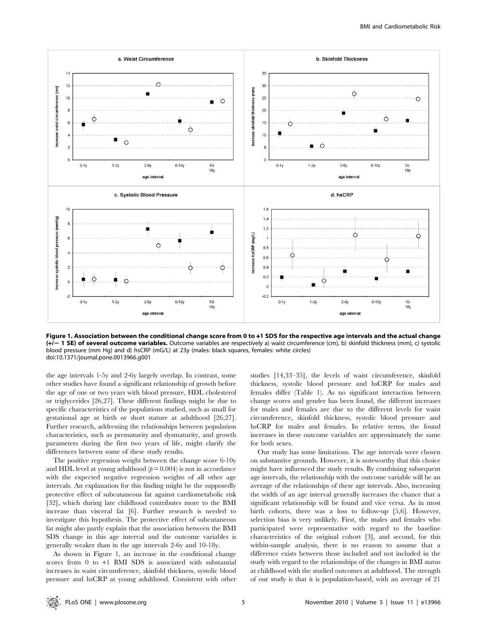

Figure 1. Association between the conditional change score from 0 to +1 SDS for the respective age intervals and the actual change (+/- 1 SE) of several outcome variables. Outcome variables are respectively a) waist circumference (cm), b) skinfold thickness (mm), c) systolic blood pressure (mm Hg) and d) hsCRP (mG/L) at 23y (males: black squares, females: white circles) doi:10.1371/journal.pone.0013966.g001

the age intervals 1-5y and 2-6y largely overlap. In contrast, some other studies have found a significant relationship of growth before the age of one or two years with blood pressure, HDL cholesterol or triglycerides [26,27]. These different findings might be due to specific characteristics of the populations studied, such as small for gestational age at birth or short stature at adulthood [26,27]. Further research, addressing the relationships between population characteristics, such as prematurity and dysmaturity, and growth parameters during the first two years of life, might clarify the differences between some of these study results.

The positive regression weight between the change score 6-10y and HDL level at young adulthood  $(p = 0.004)$  is not in accordance with the expected negative regression weights of all other age intervals. An explanation for this finding might be the supposedly protective effect of subcutaneous fat against cardiometabolic risk [32], which during late childhood contributes more to the BMI increase than visceral fat [6]. Further research is needed to investigate this hypothesis. The protective effect of subcutaneous fat might also partly explain that the association between the BMI SDS change in this age interval and the outcome variables is generally weaker than in the age intervals 2-6y and 10-18y.

As shown in Figure 1, an increase in the conditional change scores from 0 to +1 BMI SDS is associated with substantial increases in waist circumference, skinfold thickness, systolic blood pressure and hsCRP at young adulthood. Consistent with other

studies [14,33–35], the levels of waist circumference, skinfold thickness, systolic blood pressure and hsCRP for males and females differ (Table 1). As no significant interaction between change scores and gender has been found, the different increases for males and females are due to the different levels for waist circumference, skinfold thickness, systolic blood pressure and hsCRP for males and females. In relative terms, the found increases in these outcome variables are approximately the same for both sexes.

Our study has some limitations. The age intervals were chosen on substantive grounds. However, it is noteworthy that this choice might have influenced the study results. By combining subsequent age intervals, the relationship with the outcome variable will be an average of the relationships of these age intervals. Also, increasing the width of an age interval generally increases the chance that a significant relationship will be found and vice versa. As in most birth cohorts, there was a loss to follow-up [5,6]. However, selection bias is very unlikely. First, the males and females who participated were representative with regard to the baseline characteristics of the original cohort [3], and second, for this within-sample analysis, there is no reason to assume that a difference exists between those included and not included in the study with regard to the relationships of the changes in BMI status at childhood with the studied outcomes at adulthood. The strength of our study is that it is population-based, with an average of 21